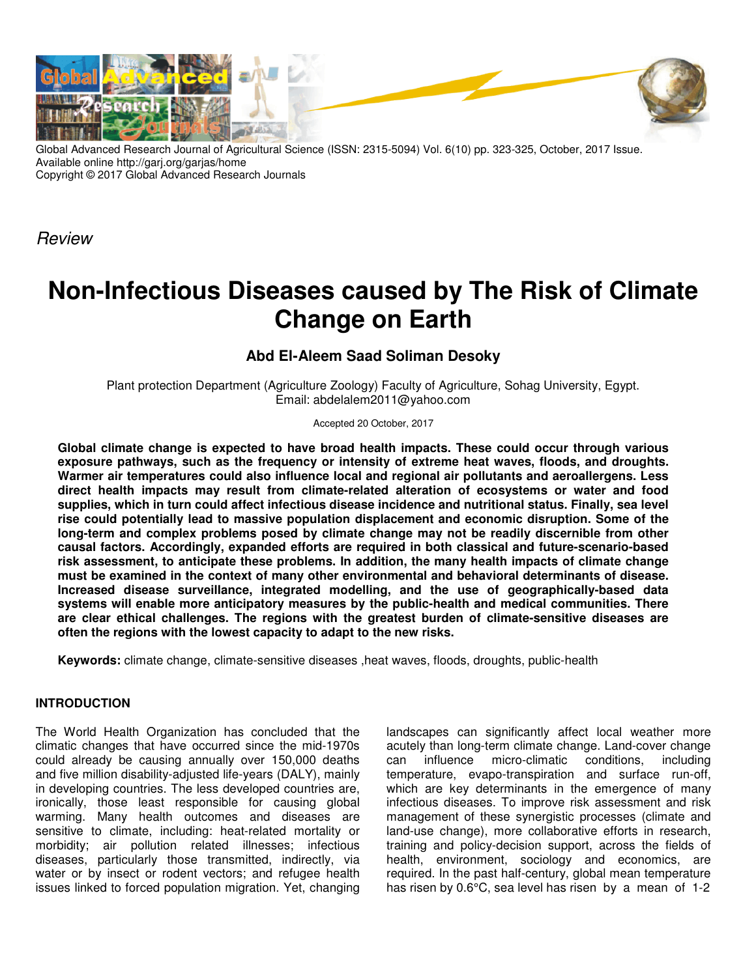

Global Advanced Research Journal of Agricultural Science (ISSN: 2315-5094) Vol. 6(10) pp. 323-325, October, 2017 Issue. Available online http://garj.org/garjas/home Copyright © 2017 Global Advanced Research Journals

*Review* 

# **Non-Infectious Diseases caused by The Risk of Climate Change on Earth**

## **Abd El-Aleem Saad Soliman Desoky**

Plant protection Department (Agriculture Zoology) Faculty of Agriculture, Sohag University, Egypt. Email: abdelalem2011@yahoo.com

#### Accepted 20 October, 2017

**Global climate change is expected to have broad health impacts. These could occur through various exposure pathways, such as the frequency or intensity of extreme heat waves, floods, and droughts. Warmer air temperatures could also influence local and regional air pollutants and aeroallergens. Less direct health impacts may result from climate-related alteration of ecosystems or water and food supplies, which in turn could affect infectious disease incidence and nutritional status. Finally, sea level rise could potentially lead to massive population displacement and economic disruption. Some of the long-term and complex problems posed by climate change may not be readily discernible from other causal factors. Accordingly, expanded efforts are required in both classical and future-scenario-based risk assessment, to anticipate these problems. In addition, the many health impacts of climate change must be examined in the context of many other environmental and behavioral determinants of disease. Increased disease surveillance, integrated modelling, and the use of geographically-based data systems will enable more anticipatory measures by the public-health and medical communities. There are clear ethical challenges. The regions with the greatest burden of climate-sensitive diseases are often the regions with the lowest capacity to adapt to the new risks.** 

**Keywords:** climate change, climate-sensitive diseases ,heat waves, floods, droughts, public-health

### **INTRODUCTION**

The World Health Organization has concluded that the climatic changes that have occurred since the mid-1970s could already be causing annually over 150,000 deaths and five million disability-adjusted life-years (DALY), mainly in developing countries. The less developed countries are, ironically, those least responsible for causing global warming. Many health outcomes and diseases are sensitive to climate, including: heat-related mortality or morbidity; air pollution related illnesses; infectious diseases, particularly those transmitted, indirectly, via water or by insect or rodent vectors; and refugee health issues linked to forced population migration. Yet, changing

landscapes can significantly affect local weather more acutely than long-term climate change. Land-cover change can influence micro-climatic conditions, including temperature, evapo-transpiration and surface run-off, which are key determinants in the emergence of many infectious diseases. To improve risk assessment and risk management of these synergistic processes (climate and land-use change), more collaborative efforts in research, training and policy-decision support, across the fields of health, environment, sociology and economics, are required. In the past half-century, global mean temperature has risen by 0.6°C, sea level has risen by a mean of 1-2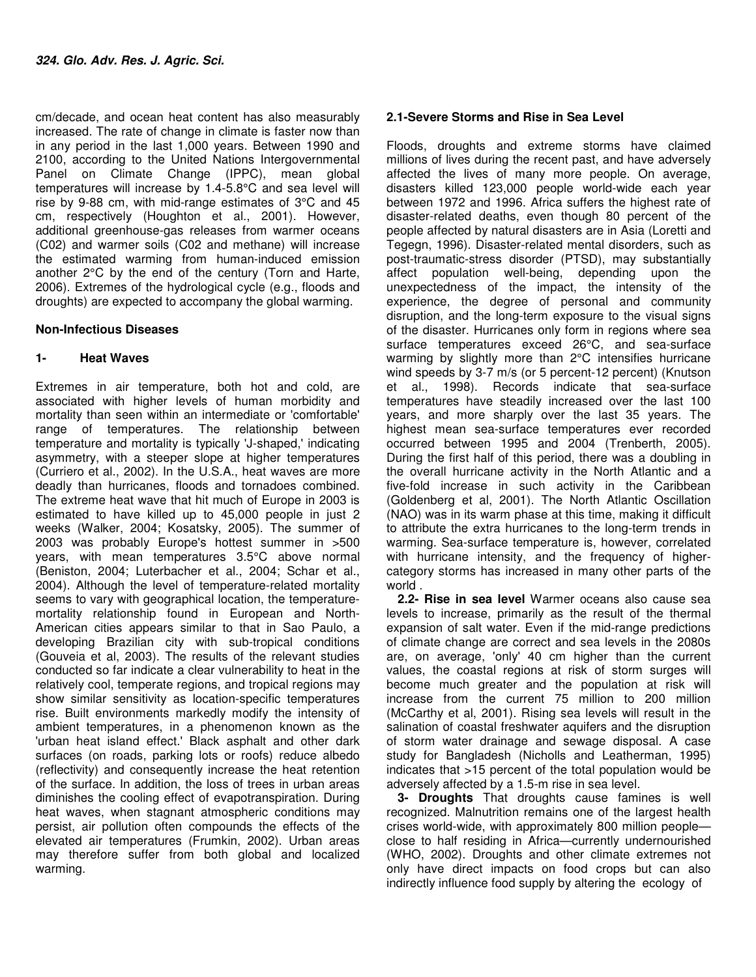cm/decade, and ocean heat content has also measurably increased. The rate of change in climate is faster now than in any period in the last 1,000 years. Between 1990 and 2100, according to the United Nations Intergovernmental Panel on Climate Change (IPPC), mean global temperatures will increase by 1.4-5.8°C and sea level will rise by 9-88 cm, with mid-range estimates of 3°C and 45 cm, respectively (Houghton et al., 2001). However, additional greenhouse-gas releases from warmer oceans (C02) and warmer soils (C02 and methane) will increase the estimated warming from human-induced emission another 2°C by the end of the century (Torn and Harte, 2006). Extremes of the hydrological cycle (e.g., floods and droughts) are expected to accompany the global warming.

#### **Non-Infectious Diseases**

#### **1- Heat Waves**

Extremes in air temperature, both hot and cold, are associated with higher levels of human morbidity and mortality than seen within an intermediate or 'comfortable' range of temperatures. The relationship between temperature and mortality is typically 'J-shaped,' indicating asymmetry, with a steeper slope at higher temperatures (Curriero et al., 2002). In the U.S.A., heat waves are more deadly than hurricanes, floods and tornadoes combined. The extreme heat wave that hit much of Europe in 2003 is estimated to have killed up to 45,000 people in just 2 weeks (Walker, 2004; Kosatsky, 2005). The summer of 2003 was probably Europe's hottest summer in >500 years, with mean temperatures 3.5°C above normal (Beniston, 2004; Luterbacher et al., 2004; Schar et al., 2004). Although the level of temperature-related mortality seems to vary with geographical location, the temperaturemortality relationship found in European and North-American cities appears similar to that in Sao Paulo, a developing Brazilian city with sub-tropical conditions (Gouveia et al, 2003). The results of the relevant studies conducted so far indicate a clear vulnerability to heat in the relatively cool, temperate regions, and tropical regions may show similar sensitivity as location-specific temperatures rise. Built environments markedly modify the intensity of ambient temperatures, in a phenomenon known as the 'urban heat island effect.' Black asphalt and other dark surfaces (on roads, parking lots or roofs) reduce albedo (reflectivity) and consequently increase the heat retention of the surface. In addition, the loss of trees in urban areas diminishes the cooling effect of evapotranspiration. During heat waves, when stagnant atmospheric conditions may persist, air pollution often compounds the effects of the elevated air temperatures (Frumkin, 2002). Urban areas may therefore suffer from both global and localized warming.

#### **2.1-Severe Storms and Rise in Sea Level**

Floods, droughts and extreme storms have claimed millions of lives during the recent past, and have adversely affected the lives of many more people. On average, disasters killed 123,000 people world-wide each year between 1972 and 1996. Africa suffers the highest rate of disaster-related deaths, even though 80 percent of the people affected by natural disasters are in Asia (Loretti and Tegegn, 1996). Disaster-related mental disorders, such as post-traumatic-stress disorder (PTSD), may substantially affect population well-being, depending upon the unexpectedness of the impact, the intensity of the experience, the degree of personal and community disruption, and the long-term exposure to the visual signs of the disaster. Hurricanes only form in regions where sea surface temperatures exceed 26°C, and sea-surface warming by slightly more than 2°C intensifies hurricane wind speeds by 3-7 m/s (or 5 percent-12 percent) (Knutson et al., 1998). Records indicate that sea-surface temperatures have steadily increased over the last 100 years, and more sharply over the last 35 years. The highest mean sea-surface temperatures ever recorded occurred between 1995 and 2004 (Trenberth, 2005). During the first half of this period, there was a doubling in the overall hurricane activity in the North Atlantic and a five-fold increase in such activity in the Caribbean (Goldenberg et al, 2001). The North Atlantic Oscillation (NAO) was in its warm phase at this time, making it difficult to attribute the extra hurricanes to the long-term trends in warming. Sea-surface temperature is, however, correlated with hurricane intensity, and the frequency of highercategory storms has increased in many other parts of the world .

**2.2- Rise in sea level** Warmer oceans also cause sea levels to increase, primarily as the result of the thermal expansion of salt water. Even if the mid-range predictions of climate change are correct and sea levels in the 2080s are, on average, 'only' 40 cm higher than the current values, the coastal regions at risk of storm surges will become much greater and the population at risk will increase from the current 75 million to 200 million (McCarthy et al, 2001). Rising sea levels will result in the salination of coastal freshwater aquifers and the disruption of storm water drainage and sewage disposal. A case study for Bangladesh (Nicholls and Leatherman, 1995) indicates that >15 percent of the total population would be adversely affected by a 1.5-m rise in sea level.

**3- Droughts** That droughts cause famines is well recognized. Malnutrition remains one of the largest health crises world-wide, with approximately 800 million people close to half residing in Africa—currently undernourished (WHO, 2002). Droughts and other climate extremes not only have direct impacts on food crops but can also indirectly influence food supply by altering the ecology of